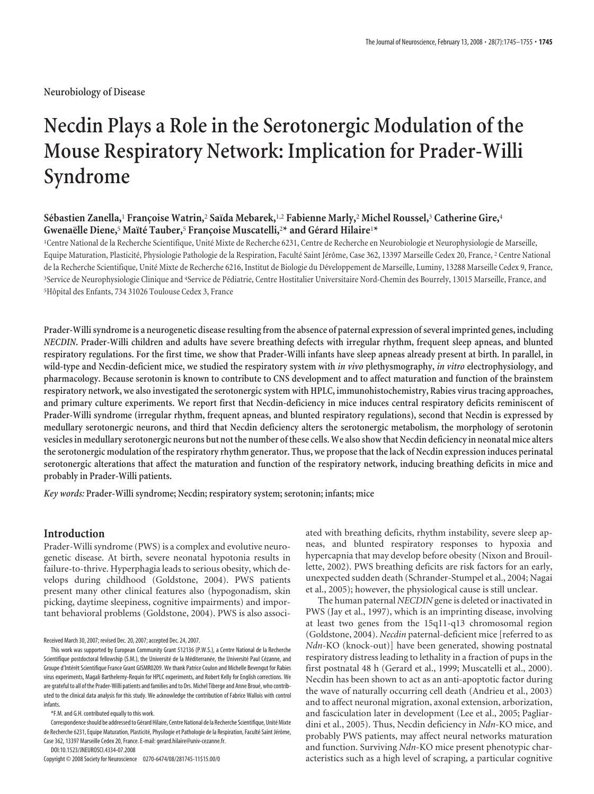**Neurobiology of Disease**

# **Necdin Plays a Role in the Serotonergic Modulation of the Mouse Respiratory Network: Implication for Prader-Willi Syndrome**

# **Sébastien Zanella,<sup>1</sup> Françoise Watrin,<sup>2</sup> Saïda Mebarek,<sup>1,2</sup> Fabienne Marly,<sup>2</sup> Michel Roussel,<sup>3</sup> Catherine Gire,<sup>4</sup>**  $G$ wenaëlle Diene, $^5$  Maïté Tauber, $^5$  Françoise Muscatelli, $^{2*}$  and Gérard Hilaire $^{1*}$

<sup>1</sup>Centre National de la Recherche Scientifique, Unité Mixte de Recherche 6231, Centre de Recherche en Neurobiologie et Neurophysiologie de Marseille, Equipe Maturation, Plasticité, Physiologie Pathologie de la Respiration, Faculté Saint Jérôme, Case 362, 13397 Marseille Cedex 20, France, <sup>2</sup> Centre National de la Recherche Scientifique, Unité Mixte de Recherche 6216, Institut de Biologie du Développement de Marseille, Luminy, 13288 Marseille Cedex 9, France, <sup>3</sup>Service de Neurophysiologie Clinique and <sup>4</sup>Service de Pédiatrie, Centre Hostitalier Universitaire Nord-Chemin des Bourrely, 13015 Marseille, France, and <sup>5</sup>Hôpital des Enfants, 734 31026 Toulouse Cedex 3, France

**Prader-Willi syndrome is a neurogenetic disease resulting from the absence of paternal expression of several imprinted genes, including** *NECDIN***. Prader-Willi children and adults have severe breathing defects with irregular rhythm, frequent sleep apneas, and blunted respiratory regulations. For the first time, we show that Prader-Willi infants have sleep apneas already present at birth. In parallel, in wild-type and Necdin-deficient mice, we studied the respiratory system with** *in vivo* **plethysmography,** *in vitro* **electrophysiology, and pharmacology. Because serotonin is known to contribute to CNS development and to affect maturation and function of the brainstem respiratory network, we also investigated the serotonergic system with HPLC, immunohistochemistry, Rabies virus tracing approaches, and primary culture experiments. We report first that Necdin-deficiency in mice induces central respiratory deficits reminiscent of Prader-Willi syndrome (irregular rhythm, frequent apneas, and blunted respiratory regulations), second that Necdin is expressed by medullary serotonergic neurons, and third that Necdin deficiency alters the serotonergic metabolism, the morphology of serotonin vesicles in medullary serotonergic neurons but not the number of these cells. We also show that Necdin deficiency in neonatal mice alters the serotonergic modulation of the respiratory rhythm generator. Thus, we propose that the lack of Necdin expression induces perinatal serotonergic alterations that affect the maturation and function of the respiratory network, inducing breathing deficits in mice and probably in Prader-Willi patients.**

*Key words:* **Prader-Willi syndrome; Necdin; respiratory system; serotonin; infants; mice**

# **Introduction**

Prader-Willi syndrome (PWS) is a complex and evolutive neurogenetic disease. At birth, severe neonatal hypotonia results in failure-to-thrive. Hyperphagia leads to serious obesity, which develops during childhood (Goldstone, 2004). PWS patients present many other clinical features also (hypogonadism, skin picking, daytime sleepiness, cognitive impairments) and important behavioral problems (Goldstone, 2004). PWS is also associ-

Received March 30, 2007; revised Dec. 20, 2007; accepted Dec. 24, 2007.

\*F.M. and G.H. contributed equally to this work.

Correspondence should be addressed to Gérard Hilaire, Centre National de la Recherche Scientifique, Unité Mixte de Recherche 6231, Equipe Maturation, Plasticité, Physilogie et Pathologie de la Respiration, Faculté Saint Jérôme, Case 362, 13397 Marseille Cedex 20, France. E-mail: gerard.hilaire@univ-cezanne.fr.

DOI:10.1523/JNEUROSCI.4334-07.2008

Copyright © 2008 Society for Neuroscience 0270-6474/08/281745-11\$15.00/0

ated with breathing deficits, rhythm instability, severe sleep apneas, and blunted respiratory responses to hypoxia and hypercapnia that may develop before obesity (Nixon and Brouillette, 2002). PWS breathing deficits are risk factors for an early, unexpected sudden death (Schrander-Stumpel et al., 2004; Nagai et al., 2005); however, the physiological cause is still unclear.

The human paternal *NECDIN* gene is deleted or inactivated in PWS (Jay et al., 1997), which is an imprinting disease, involving at least two genes from the 15q11-q13 chromosomal region (Goldstone, 2004). *Necdin* paternal-deficient mice [referred to as *Ndn-*KO (knock-out)] have been generated, showing postnatal respiratory distress leading to lethality in a fraction of pups in the first postnatal 48 h (Gerard et al., 1999; Muscatelli et al., 2000). Necdin has been shown to act as an anti-apoptotic factor during the wave of naturally occurring cell death (Andrieu et al., 2003) and to affect neuronal migration, axonal extension, arborization, and fasciculation later in development (Lee et al., 2005; Pagliardini et al., 2005). Thus, Necdin deficiency in *Ndn*-KO mice, and probably PWS patients, may affect neural networks maturation and function. Surviving *Ndn-*KO mice present phenotypic characteristics such as a high level of scraping, a particular cognitive

This work was supported by European Community Grant 512136 (P.W.S.), a Centre National de la Recherche Scientifique postdoctoral fellowship (S.M.), the Université de la Méditerranée, the Université Paul Cézanne, and Groupe d'Intérêt Scientifique France Grant GISMR0209. We thank Patrice Coulon and Michelle Bevengut for Rabies virus experiments, Magali Barthelemy-Requin for HPLC experiments, and Robert Kelly for English corrections. We are grateful to all of the Prader-Willi patients and families and to Drs. Michel Tiberge and Anne Broué, who contributed to the clinical data analysis for this study. We acknowledge the contribution of Fabrice Wallois with control infants.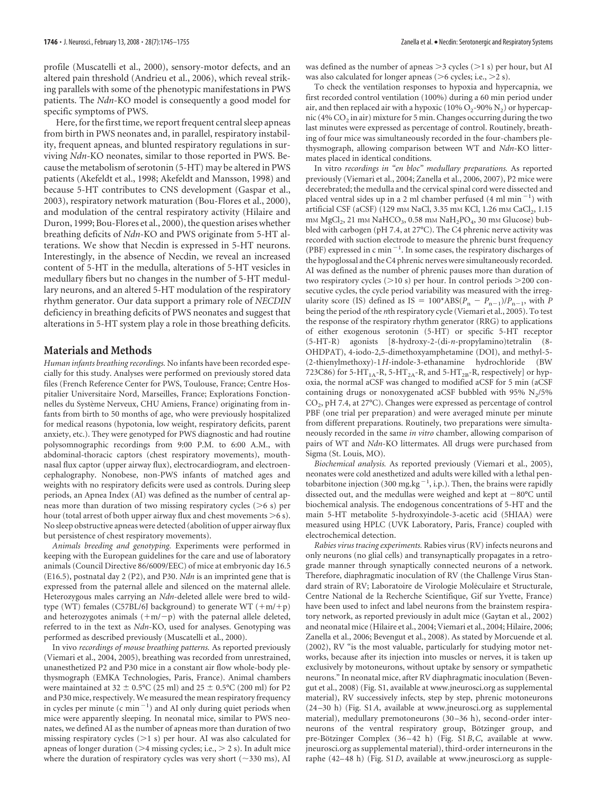profile (Muscatelli et al., 2000), sensory-motor defects, and an altered pain threshold (Andrieu et al., 2006), which reveal striking parallels with some of the phenotypic manifestations in PWS patients. The *Ndn-*KO model is consequently a good model for specific symptoms of PWS.

Here, for the first time, we report frequent central sleep apneas from birth in PWS neonates and, in parallel, respiratory instability, frequent apneas, and blunted respiratory regulations in surviving *Ndn-*KO neonates, similar to those reported in PWS. Because the metabolism of serotonin (5-HT) may be altered in PWS patients (Akefeldt et al., 1998; Akefeldt and Mansson, 1998) and because 5-HT contributes to CNS development (Gaspar et al., 2003), respiratory network maturation (Bou-Flores et al., 2000), and modulation of the central respiratory activity (Hilaire and Duron, 1999; Bou-Flores et al., 2000), the question arises whether breathing deficits of *Ndn*-KO and PWS originate from 5-HT alterations. We show that Necdin is expressed in 5-HT neurons. Interestingly, in the absence of Necdin, we reveal an increased content of 5-HT in the medulla, alterations of 5-HT vesicles in medullary fibers but no changes in the number of 5-HT medullary neurons, and an altered 5-HT modulation of the respiratory rhythm generator. Our data support a primary role of *NECDIN* deficiency in breathing deficits of PWS neonates and suggest that alterations in 5-HT system play a role in those breathing deficits.

# **Materials and Methods**

*Human infants breathing recordings.* No infants have been recorded especially for this study. Analyses were performed on previously stored data files (French Reference Center for PWS, Toulouse, France; Centre Hospitalier Universitaire Nord, Marseilles, France; Explorations Fonctionnelles du Système Nerveux, CHU Amiens, France) originating from infants from birth to 50 months of age, who were previously hospitalized for medical reasons (hypotonia, low weight, respiratory deficits, parent anxiety, etc.). They were genotyped for PWS diagnostic and had routine polysomnographic recordings from 9:00 P.M. to 6:00 A.M., with abdominal-thoracic captors (chest respiratory movements), mouthnasal flux captor (upper airway flux), electrocardiogram, and electroencephalography. Nonobese, non-PWS infants of matched ages and weights with no respiratory deficits were used as controls. During sleep periods, an Apnea Index (AI) was defined as the number of central apneas more than duration of two missing respiratory cycles ( $>6$  s) per hour (total arrest of both upper airway flux and chest movements  $>6$  s). No sleep obstructive apneas were detected (abolition of upper airway flux but persistence of chest respiratory movements).

*Animals breeding and genotyping.* Experiments were performed in keeping with the European guidelines for the care and use of laboratory animals (Council Directive 86/6009/EEC) of mice at embryonic day 16.5 (E16.5), postnatal day 2 (P2), and P30. *Ndn* is an imprinted gene that is expressed from the paternal allele and silenced on the maternal allele. Heterozygous males carrying an *Ndn*-deleted allele were bred to wildtype (WT) females (C57BL/6J background) to generate WT  $(+m/+p)$ and heterozygotes animals  $(+m/-p)$  with the paternal allele deleted, referred to in the text as *Ndn*-KO, used for analyses. Genotyping was performed as described previously (Muscatelli et al., 2000).

In vivo *recordings of mouse breathing patterns.* As reported previously (Viemari et al., 2004, 2005), breathing was recorded from unrestrained, unanesthetized P2 and P30 mice in a constant air flow whole-body plethysmograph (EMKA Technologies, Paris, France). Animal chambers were maintained at 32  $\pm$  0.5°C (25 ml) and 25  $\pm$  0.5°C (200 ml) for P2 and P30 mice, respectively. We measured the mean respiratory frequency in cycles per minute  $(c \text{ min}^{-1})$  and AI only during quiet periods when mice were apparently sleeping. In neonatal mice, similar to PWS neonates, we defined AI as the number of apneas more than duration of two missing respiratory cycles  $(>1 s)$  per hour. AI was also calculated for apneas of longer duration ( $>$ 4 missing cycles; i.e.,  $>$  2 s). In adult mice where the duration of respiratory cycles was very short ( $\sim$ 330 ms), AI

was defined as the number of apneas  $>$  3 cycles ( $>$ 1 s) per hour, but AI was also calculated for longer apneas ( $>$ 6 cycles; i.e.,  $>$ 2 s).

To check the ventilation responses to hypoxia and hypercapnia, we first recorded control ventilation (100%) during a 60 min period under air, and then replaced air with a hypoxic (10%  $O_2$ -90% N<sub>2</sub>) or hypercapnic (4%  $CO<sub>2</sub>$  in air) mixture for 5 min. Changes occurring during the two last minutes were expressed as percentage of control. Routinely, breathing of four mice was simultaneously recorded in the four-chambers plethysmograph, allowing comparison between WT and *Ndn-*KO littermates placed in identical conditions.

In vitro *recordings in "en bloc" medullary preparations.* As reported previously (Viemari et al., 2004; Zanella et al., 2006, 2007), P2 mice were decerebrated; the medulla and the cervical spinal cord were dissected and placed ventral sides up in a 2 ml chamber perfused  $(4 \text{ ml min}^{-1})$  with artificial CSF (aCSF) (129 mm NaCl, 3.35 mm KCl, 1.26 mm CaCl<sub>2</sub>, 1.15 mm MgCl<sub>2</sub>, 21 mm NaHCO<sub>3</sub>, 0.58 mm NaH<sub>2</sub>PO<sub>4</sub>, 30 mm Glucose) bubbled with carbogen (pH 7.4, at 27°C). The C4 phrenic nerve activity was recorded with suction electrode to measure the phrenic burst frequency (PBF) expressed in c min<sup>-1</sup>. In some cases, the respiratory discharges of the hypoglossal and the C4 phrenic nerves were simultaneously recorded. AI was defined as the number of phrenic pauses more than duration of two respiratory cycles ( $>$ 10 s) per hour. In control periods  $>$ 200 consecutive cycles, the cycle period variability was measured with the irregularity score (IS) defined as IS =  $100*ABS(P_n - P_{n-1})/P_{n-1}$ , with *P* being the period of the *n*th respiratory cycle (Viemari et al., 2005). To test the response of the respiratory rhythm generator (RRG) to applications of either exogenous serotonin (5-HT) or specific 5-HT receptor (5-HT-R) agonists [8-hydroxy-2-(di-*n*-propylamino)tetralin (8- OHDPAT), 4-iodo-2,5-dimethoxyamphetamine (DOI), and methyl-5- (2-thienylmethoxy)-1*H*-indole-3-ethanamine hydrochloride (BW 723C86) for 5-HT<sub>1A</sub>-R, 5-HT<sub>2A</sub>-R, and 5-HT<sub>2B</sub>-R, respectively] or hypoxia, the normal aCSF was changed to modified aCSF for 5 min (aCSF containing drugs or nonoxygenated aCSF bubbled with 95%  $N_2/5\%$ CO<sub>2</sub>, pH 7.4, at 27°C). Changes were expressed as percentage of control PBF (one trial per preparation) and were averaged minute per minute from different preparations. Routinely, two preparations were simultaneously recorded in the same *in vitro* chamber, allowing comparison of pairs of WT and *Ndn*-KO littermates. All drugs were purchased from Sigma (St. Louis, MO).

*Biochemical analysis.* As reported previously (Viemari et al., 2005), neonates were cold anesthetized and adults were killed with a lethal pentobarbitone injection (300 mg.kg  $^{-1}$ , i.p.). Then, the brains were rapidly dissected out, and the medullas were weighed and kept at  $-80^{\circ}$ C until biochemical analysis. The endogenous concentrations of 5-HT and the main 5-HT metabolite 5-hydroxyindole-3-acetic acid (5HIAA) were measured using HPLC (UVK Laboratory, Paris, France) coupled with electrochemical detection.

*Rabies virus tracing experiments.* Rabies virus (RV) infects neurons and only neurons (no glial cells) and transynaptically propagates in a retrograde manner through synaptically connected neurons of a network. Therefore, diaphragmatic inoculation of RV (the Challenge Virus Standard strain of RV; Laboratoire de Virologie Moléculaire et Structurale, Centre National de la Recherche Scientifique, Gif sur Yvette, France) have been used to infect and label neurons from the brainstem respiratory network, as reported previously in adult mice (Gaytan et al., 2002) and neonatal mice (Hilaire et al., 2004; Viemari et al., 2004; Hilaire, 2006; Zanella et al., 2006; Bevengut et al., 2008). As stated by Morcuende et al. (2002), RV "is the most valuable, particularly for studying motor networks, because after its injection into muscles or nerves, it is taken up exclusively by motoneurons, without uptake by sensory or sympathetic neurons." In neonatal mice, after RV diaphragmatic inoculation (Bevengut et al., 2008) (Fig. S1, available at www.jneurosci.org as supplemental material), RV successively infects, step by step, phrenic motoneurons (24 –30 h) (Fig. S1*A*, available at www.jneurosci.org as supplemental material), medullary premotoneurons (30 –36 h), second-order interneurons of the ventral respiratory group, Bötzinger group, and pre-Bötzinger Complex (36-42 h) (Fig. S1B, C, available at www. jneurosci.org as supplemental material), third-order interneurons in the raphe (42–48 h) (Fig. S1*D*, available at www.jneurosci.org as supple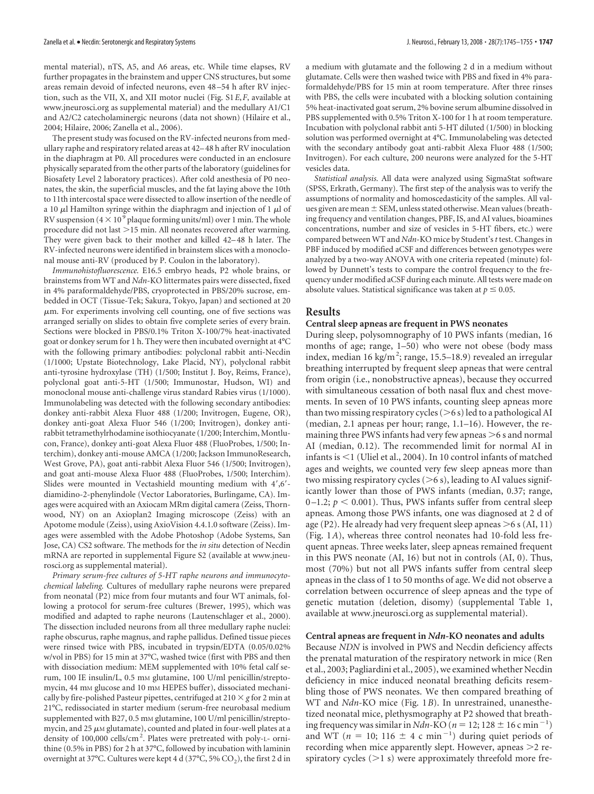mental material), nTS, A5, and A6 areas, etc. While time elapses, RV further propagates in the brainstem and upper CNS structures, but some areas remain devoid of infected neurons, even 48 –54 h after RV injection, such as the VII, X, and XII motor nuclei (Fig. S1*E*,*F*, available at www.jneurosci.org as supplemental material) and the medullary A1/C1 and A2/C2 catecholaminergic neurons (data not shown) (Hilaire et al., 2004; Hilaire, 2006; Zanella et al., 2006).

The present study was focused on the RV-infected neurons from medullary raphe and respiratory related areas at 42– 48 h after RV inoculation in the diaphragm at P0. All procedures were conducted in an enclosure physically separated from the other parts of the laboratory (guidelines for Biosafety Level 2 laboratory practices). After cold anesthesia of P0 neonates, the skin, the superficial muscles, and the fat laying above the 10th to 11th intercostal space were dissected to allow insertion of the needle of a 10  $\mu$ l Hamilton syringe within the diaphragm and injection of 1  $\mu$ l of RV suspension ( $4 \times 10^9$  plaque forming units/ml) over 1 min. The whole procedure did not last >15 min. All neonates recovered after warming. They were given back to their mother and killed 42– 48 h later. The RV-infected neurons were identified in brainstem slices with a monoclonal mouse anti-RV (produced by P. Coulon in the laboratory).

*Immunohistofluorescence.* E16.5 embryo heads, P2 whole brains, or brainstems from WT and *Ndn-*KO littermates pairs were dissected, fixed in 4% paraformaldehyde/PBS, cryoprotected in PBS/20% sucrose, embedded in OCT (Tissue-Tek; Sakura, Tokyo, Japan) and sectioned at 20  $\mu$ m. For experiments involving cell counting, one of five sections was arranged serially on slides to obtain five complete series of every brain. Sections were blocked in PBS/0.1% Triton X-100/7% heat-inactivated goat or donkey serum for 1 h. They were then incubated overnight at 4°C with the following primary antibodies: polyclonal rabbit anti-Necdin (1/1000; Upstate Biotechnology, Lake Placid, NY), polyclonal rabbit anti-tyrosine hydroxylase (TH) (1/500; Institut J. Boy, Reims, France), polyclonal goat anti-5-HT (1/500; Immunostar, Hudson, WI) and monoclonal mouse anti-challenge virus standard Rabies virus (1/1000). Immunolabeling was detected with the following secondary antibodies: donkey anti-rabbit Alexa Fluor 488 (1/200; Invitrogen, Eugene, OR), donkey anti-goat Alexa Fluor 546 (1/200; Invitrogen), donkey antirabbit tetramethylrhodamine isothiocyanate (1/200; Interchim, Montlucon, France), donkey anti-goat Alexa Fluor 488 (FluoProbes, 1/500; Interchim), donkey anti-mouse AMCA (1/200; Jackson ImmunoResearch, West Grove, PA), goat anti-rabbit Alexa Fluor 546 (1/500; Invitrogen), and goat anti-mouse Alexa Fluor 488 (FluoProbes, 1/500; Interchim). Slides were mounted in Vectashield mounting medium with 4',6'diamidino-2-phenylindole (Vector Laboratories, Burlingame, CA). Images were acquired with an Axiocam MRm digital camera (Zeiss, Thornwood, NY) on an Axioplan2 Imaging microscope (Zeiss) with an Apotome module (Zeiss), using AxioVision 4.4.1.0 software (Zeiss). Images were assembled with the Adobe Photoshop (Adobe Systems, San Jose, CA) CS2 software. The methods for the *in situ* detection of Necdin mRNA are reported in supplemental Figure S2 (available at www.jneurosci.org as supplemental material).

*Primary serum-free cultures of 5-HT raphe neurons and immunocytochemical labeling.* Cultures of medullary raphe neurons were prepared from neonatal (P2) mice from four mutants and four WT animals, following a protocol for serum-free cultures (Brewer, 1995), which was modified and adapted to raphe neurons (Lautenschlager et al., 2000). The dissection included neurons from all three medullary raphe nuclei: raphe obscurus, raphe magnus, and raphe pallidus. Defined tissue pieces were rinsed twice with PBS, incubated in trypsin/EDTA (0.05/0.02% w/vol in PBS) for 15 min at 37°C, washed twice (first with PBS and then with dissociation medium: MEM supplemented with 10% fetal calf serum, 100 IE insulin/L, 0.5 mm glutamine, 100 U/ml penicillin/streptomycin, 44 mm glucose and 10 mm HEPES buffer), dissociated mechanically by fire-polished Pasteur pipettes, centrifuged at  $210 \times g$  for 2 min at 21°C, redissociated in starter medium (serum-free neurobasal medium supplemented with B27, 0.5 mm glutamine, 100 U/ml penicillin/streptomycin, and 25  $\mu$ M glutamate), counted and plated in four-well plates at a density of 100,000 cells/cm<sup>2</sup>. Plates were pretreated with poly-L- ornithine (0.5% in PBS) for 2 h at 37°C, followed by incubation with laminin overnight at 37°C. Cultures were kept 4 d (37°C, 5% CO<sub>2</sub>), the first 2 d in

a medium with glutamate and the following 2 d in a medium without glutamate. Cells were then washed twice with PBS and fixed in 4% paraformaldehyde/PBS for 15 min at room temperature. After three rinses with PBS, the cells were incubated with a blocking solution containing 5% heat-inactivated goat serum, 2% bovine serum albumine dissolved in PBS supplemented with 0.5% Triton X-100 for 1 h at room temperature. Incubation with polyclonal rabbit anti 5-HT diluted (1/500) in blocking solution was performed overnight at 4°C. Immunolabeling was detected with the secondary antibody goat anti-rabbit Alexa Fluor 488 (1/500; Invitrogen). For each culture, 200 neurons were analyzed for the 5-HT vesicles data.

*Statistical analysis.* All data were analyzed using SigmaStat software (SPSS, Erkrath, Germany). The first step of the analysis was to verify the assumptions of normality and homoscedasticity of the samples. All values given are mean  $\pm$  SEM, unless stated otherwise. Mean values (breathing frequency and ventilation changes, PBF, IS, and AI values, bioamines concentrations, number and size of vesicles in 5-HT fibers, etc.) were compared between WT and *Ndn*-KO mice by Student's*t* test. Changes in PBF induced by modified aCSF and differences between genotypes were analyzed by a two-way ANOVA with one criteria repeated (minute) followed by Dunnett's tests to compare the control frequency to the frequency under modified aCSF during each minute. All tests were made on absolute values. Statistical significance was taken at  $p \leq 0.05$ .

#### **Results**

## **Central sleep apneas are frequent in PWS neonates**

During sleep, polysomnography of 10 PWS infants (median, 16 months of age; range, 1–50) who were not obese (body mass index, median 16 kg/m<sup>2</sup>; range, 15.5–18.9) revealed an irregular breathing interrupted by frequent sleep apneas that were central from origin (i.e., nonobstructive apneas), because they occurred with simultaneous cessation of both nasal flux and chest movements. In seven of 10 PWS infants, counting sleep apneas more than two missing respiratory cycles  $(>6 s)$  led to a pathological AI (median, 2.1 apneas per hour; range, 1.1–16). However, the remaining three PWS infants had very few apneas  $>6$  s and normal AI (median, 0.12). The recommended limit for normal AI in infants is  $\leq$ 1 (Uliel et al., 2004). In 10 control infants of matched ages and weights, we counted very few sleep apneas more than two missing respiratory cycles  $(>6 s)$ , leading to AI values significantly lower than those of PWS infants (median, 0.37; range,  $0-1.2$ ;  $p < 0.001$ ). Thus, PWS infants suffer from central sleep apneas. Among those PWS infants, one was diagnosed at 2 d of age (P2). He already had very frequent sleep apneas  $>6$  s (AI, 11) (Fig. 1*A*), whereas three control neonates had 10-fold less frequent apneas. Three weeks later, sleep apneas remained frequent in this PWS neonate (AI, 16) but not in controls (AI, 0). Thus, most (70%) but not all PWS infants suffer from central sleep apneas in the class of 1 to 50 months of age. We did not observe a correlation between occurrence of sleep apneas and the type of genetic mutation (deletion, disomy) (supplemental Table 1, available at www.jneurosci.org as supplemental material).

# **Central apneas are frequent in** *Ndn-***KO neonates and adults**

Because *NDN* is involved in PWS and Necdin deficiency affects the prenatal maturation of the respiratory network in mice (Ren et al., 2003; Pagliardini et al., 2005), we examined whether Necdin deficiency in mice induced neonatal breathing deficits resembling those of PWS neonates. We then compared breathing of WT and *Ndn*-KO mice (Fig. 1*B*). In unrestrained, unanesthetized neonatal mice, plethysmography at P2 showed that breathing frequency was similar in *Ndn*-KO ( $n = 12$ ; 128  $\pm$  16 c min<sup>-1</sup>) and WT ( $n = 10$ ; 116  $\pm$  4 c min<sup>-1</sup>) during quiet periods of recording when mice apparently slept. However, apneas  $>2$  respiratory cycles  $(>1 s)$  were approximately threefold more fre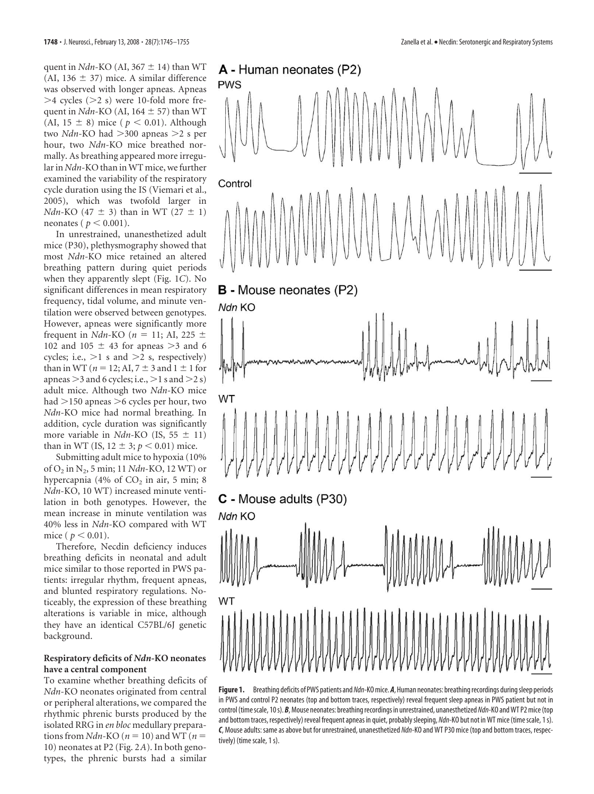quent in *Ndn*-KO (AI,  $367 \pm 14$ ) than WT (AI,  $136 \pm 37$ ) mice. A similar difference was observed with longer apneas. Apneas  $>4$  cycles ( $>2$  s) were 10-fold more frequent in  $Ndn$ -KO (AI, 164  $\pm$  57) than WT (AI,  $15 \pm 8$ ) mice ( $p < 0.01$ ). Although two *Ndn*-KO had >300 apneas >2 s per hour, two *Ndn-*KO mice breathed normally. As breathing appeared more irregular in *Ndn-*KO than inWT mice, we further examined the variability of the respiratory cycle duration using the IS (Viemari et al., 2005), which was twofold larger in *Ndn*-KO (47  $\pm$  3) than in WT (27  $\pm$  1) neonates ( $p < 0.001$ ).

In unrestrained, unanesthetized adult mice (P30), plethysmography showed that most *Ndn-*KO mice retained an altered breathing pattern during quiet periods when they apparently slept (Fig. 1*C*). No significant differences in mean respiratory frequency, tidal volume, and minute ventilation were observed between genotypes. However, apneas were significantly more frequent in *Ndn*-KO ( $n = 11$ ; AI, 225 ± 102 and 105  $\pm$  43 for apneas >3 and 6 cycles; i.e.,  $>1$  s and  $>2$  s, respectively) than in WT ( $n = 12$ ; AI,  $7 \pm 3$  and  $1 \pm 1$  for apneas  $>$  3 and 6 cycles; i.e.,  $>$  1 s and  $>$  2 s) adult mice. Although two *Ndn-*KO mice had  $>$ 150 apneas  $>$ 6 cycles per hour, two *Ndn-*KO mice had normal breathing. In addition, cycle duration was significantly more variable in *Ndn*-KO (IS,  $55 \pm 11$ ) than in WT (IS,  $12 \pm 3$ ;  $p < 0.01$ ) mice.

Submitting adult mice to hypoxia (10% of O2 in N2, 5 min; 11 *Ndn*-KO, 12 WT) or hypercapnia (4% of  $CO<sub>2</sub>$  in air, 5 min; 8 *Ndn*-KO, 10 WT) increased minute ventilation in both genotypes. However, the mean increase in minute ventilation was 40% less in *Ndn-*KO compared with WT mice ( $p < 0.01$ ).

Therefore, Necdin deficiency induces breathing deficits in neonatal and adult mice similar to those reported in PWS patients: irregular rhythm, frequent apneas, and blunted respiratory regulations. Noticeably, the expression of these breathing alterations is variable in mice, although they have an identical C57BL/6J genetic background.

# **Respiratory deficits of** *Ndn-***KO neonates have a central component**

To examine whether breathing deficits of *Ndn-*KO neonates originated from central or peripheral alterations, we compared the rhythmic phrenic bursts produced by the isolated RRG in *en bloc* medullary preparations from *Ndn*-KO ( $n = 10$ ) and WT ( $n =$ 10) neonates at P2 (Fig. 2*A*). In both genotypes, the phrenic bursts had a similar



**Figure 1.** Breathing deficits of PWS patients and *Ndn-*KOmice. *A*, Human neonates: breathingrecordings duringsleep periods in PWS and control P2 neonates (top and bottom traces, respectively) reveal frequent sleep apneas in PWS patient but not in control (time scale, 10 s). **B**, Mouse neonates: breathing recordings in unrestrained, unanesthetized Ndn-KO and WT P2 mice (top and bottom traces, respectively) reveal frequent apneas in quiet, probablysleeping, *Ndn-*KO but not in WT mice (timescale, 1s). *C*, Mouse adults: same as above but for unrestrained, unanesthetized *Ndn-*KO and WT P30 mice (top and bottom traces, respectively) (time scale, 1 s).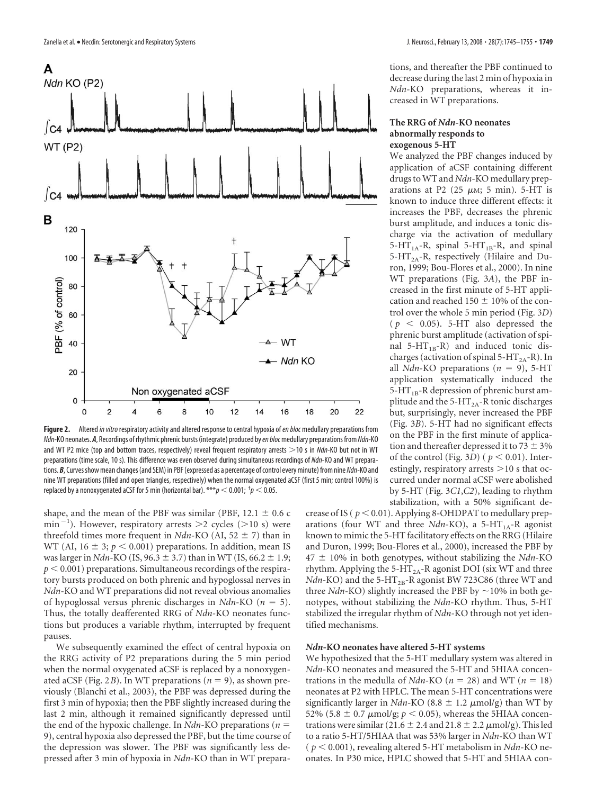

**Figure 2.** Altered*in vitro*respiratory activity and altered response to central hypoxia of*en bloc* medullary preparations from *Ndn-*KO neonates. *A*, Recordings of rhythmic phrenic bursts (integrate) produced by*en bloc*medullary preparations from*Ndn-*KO and WT P2 mice (top and bottom traces, respectively) reveal frequent respiratory arrests >10 s in *Ndn-KO* but not in WT preparations (time scale, 10 s). This difference was even observed during simultaneous recordings of *Ndn*-KO and WT preparations. *B*, Curvesshow mean changes(and SEM) in PBF(expressed as a percentage of control every minute) from nine *Ndn-*KO and nine WT preparations (filled and open triangles, respectively) when the normal oxygenated aCSF (first 5 min; control 100%) is replaced by a nonoxygenated aCSF for 5 min (horizontal bar).  $^{***}p$   $<$  0.001;  $^{\dagger}p$   $<$  0.05.

shape, and the mean of the PBF was similar (PBF,  $12.1 \pm 0.6$  c  $\min^{-1}$ ). However, respiratory arrests >2 cycles (>10 s) were threefold times more frequent in *Ndn*-KO (AI, 52  $\pm$  7) than in WT (AI,  $16 \pm 3$ ;  $p < 0.001$ ) preparations. In addition, mean IS was larger in *Ndn*-KO (IS, 96.3  $\pm$  3.7) than in WT (IS, 66.2  $\pm$  1.9;  $p < 0.001$ ) preparations. Simultaneous recordings of the respiratory bursts produced on both phrenic and hypoglossal nerves in *Ndn-*KO and WT preparations did not reveal obvious anomalies of hypoglossal versus phrenic discharges in *Ndn*-KO (*n* 5). Thus, the totally deafferented RRG of *Ndn-*KO neonates functions but produces a variable rhythm, interrupted by frequent pauses.

We subsequently examined the effect of central hypoxia on the RRG activity of P2 preparations during the 5 min period when the normal oxygenated aCSF is replaced by a nonoxygenated aCSF (Fig. 2*B*). In WT preparations ( $n = 9$ ), as shown previously (Blanchi et al., 2003), the PBF was depressed during the first 3 min of hypoxia; then the PBF slightly increased during the last 2 min, although it remained significantly depressed until the end of the hypoxic challenge. In *Ndn-*KO preparations (*n* 9), central hypoxia also depressed the PBF, but the time course of the depression was slower. The PBF was significantly less depressed after 3 min of hypoxia in *Ndn-*KO than in WT preparations, and thereafter the PBF continued to decrease during the last 2 min of hypoxia in *Ndn-*KO preparations, whereas it increased in WT preparations.

# **The RRG of** *Ndn-***KO neonates abnormally responds to exogenous 5-HT**

We analyzed the PBF changes induced by application of aCSF containing different drugs to WT and *Ndn*-KO medullary preparations at P2 (25  $\mu$ M; 5 min). 5-HT is known to induce three different effects: it increases the PBF, decreases the phrenic burst amplitude, and induces a tonic discharge via the activation of medullary  $5-HT_{1A}-R$ , spinal  $5-HT_{1B}-R$ , and spinal  $5-HT<sub>2A</sub>-R$ , respectively (Hilaire and Duron, 1999; Bou-Flores et al., 2000). In nine WT preparations (Fig. 3*A*), the PBF increased in the first minute of 5-HT application and reached 150  $\pm$  10% of the control over the whole 5 min period (Fig. 3*D*)  $(p < 0.05)$ . 5-HT also depressed the phrenic burst amplitude (activation of spinal  $5-HT_{1B}-R$ ) and induced tonic discharges (activation of spinal 5-HT<sub>2A</sub>-R). In all *Ndn*-KO preparations  $(n = 9)$ , 5-HT application systematically induced the  $5-HT_{1B}-R$  depression of phrenic burst amplitude and the 5-HT<sub>2A</sub>-R tonic discharges but, surprisingly, never increased the PBF (Fig. 3*B*). 5-HT had no significant effects on the PBF in the first minute of application and thereafter depressed it to 73  $\pm$  3% of the control (Fig. 3D) ( $p < 0.01$ ). Interestingly, respiratory arrests  $>$  10 s that occurred under normal aCSF were abolished by 5-HT (Fig. 3*C1*,*C2*), leading to rhythm stabilization, with a 50% significant de-

crease of IS ( $p < 0.01$ ). Applying 8-OHDPAT to medullary preparations (four WT and three *Ndn-KO*), a 5-HT<sub>1A</sub>-R agonist known to mimic the 5-HT facilitatory effects on the RRG (Hilaire and Duron, 1999; Bou-Flores et al., 2000), increased the PBF by  $47 \pm 10\%$  in both genotypes, without stabilizing the *Ndn*-KO rhythm. Applying the 5-HT<sub>2A</sub>-R agonist DOI (six WT and three *Ndn*-KO) and the 5-HT<sub>2B</sub>-R agonist BW 723C86 (three WT and three *Ndn*-KO) slightly increased the PBF by  $\sim$ 10% in both genotypes, without stabilizing the *Ndn-*KO rhythm. Thus, 5-HT stabilized the irregular rhythm of *Ndn-*KO through not yet identified mechanisms.

#### *Ndn-***KO neonates have altered 5-HT systems**

We hypothesized that the 5-HT medullary system was altered in *Ndn-*KO neonates and measured the 5-HT and 5HIAA concentrations in the medulla of *Ndn*-KO ( $n = 28$ ) and WT ( $n = 18$ ) neonates at P2 with HPLC. The mean 5-HT concentrations were significantly larger in *Ndn*-KO (8.8  $\pm$  1.2  $\mu$ mol/g) than WT by 52% (5.8  $\pm$  0.7  $\mu$ mol/g;  $p \le 0.05$ ), whereas the 5HIAA concentrations were similar (21.6  $\pm$  2.4 and 21.8  $\pm$  2.2  $\mu$ mol/g). This led to a ratio 5-HT/5HIAA that was 53% larger in *Ndn-*KO than WT  $(p < 0.001)$ , revealing altered 5-HT metabolism in *Ndn*-KO neonates. In P30 mice, HPLC showed that 5-HT and 5HIAA con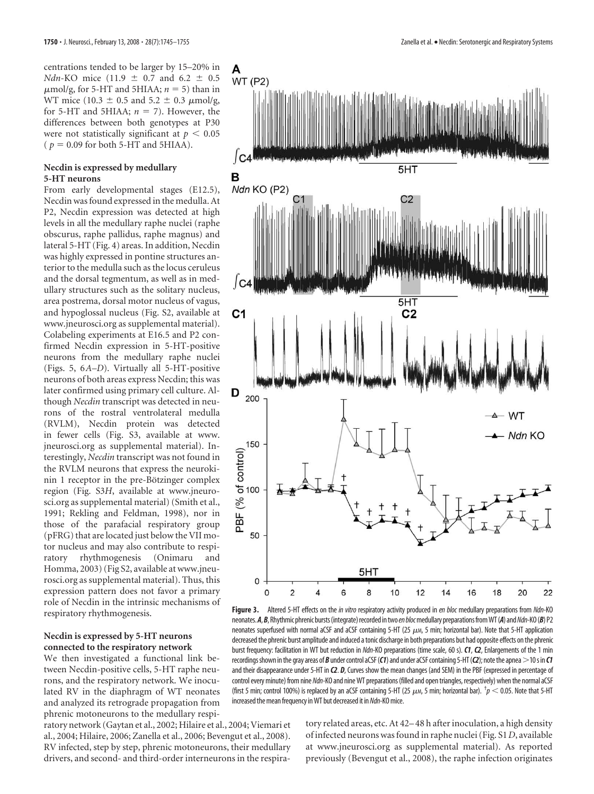centrations tended to be larger by 15–20% in *Ndn*-KO mice (11.9  $\pm$  0.7 and 6.2  $\pm$  0.5  $\mu$ mol/g, for 5-HT and 5HIAA;  $n = 5$ ) than in WT mice (10.3  $\pm$  0.5 and 5.2  $\pm$  0.3  $\mu$ mol/g, for 5-HT and 5HIAA;  $n = 7$ ). However, the differences between both genotypes at P30 were not statistically significant at  $p < 0.05$ ( $p = 0.09$  for both 5-HT and 5HIAA).

# **Necdin is expressed by medullary 5-HT neurons**

From early developmental stages (E12.5), Necdin was found expressed in the medulla. At P2, Necdin expression was detected at high levels in all the medullary raphe nuclei (raphe obscurus, raphe pallidus, raphe magnus) and lateral 5-HT (Fig. 4) areas. In addition, Necdin was highly expressed in pontine structures anterior to the medulla such as the locus ceruleus and the dorsal tegmentum, as well as in medullary structures such as the solitary nucleus, area postrema, dorsal motor nucleus of vagus, and hypoglossal nucleus (Fig. S2, available at www.jneurosci.org as supplemental material). Colabeling experiments at E16.5 and P2 confirmed Necdin expression in 5-HT-positive neurons from the medullary raphe nuclei (Figs. 5, 6*A–D*). Virtually all 5-HT-positive neurons of both areas express Necdin; this was later confirmed using primary cell culture. Although *Necdin* transcript was detected in neurons of the rostral ventrolateral medulla (RVLM), Necdin protein was detected in fewer cells (Fig. S3, available at www. jneurosci.org as supplemental material). Interestingly, *Necdin* transcript was not found in the RVLM neurons that express the neurokinin 1 receptor in the pre-Bötzinger complex region (Fig. S3*H*, available at www.jneurosci.org as supplemental material) (Smith et al., 1991; Rekling and Feldman, 1998), nor in those of the parafacial respiratory group (pFRG) that are located just below the VII motor nucleus and may also contribute to respiratory rhythmogenesis (Onimaru and Homma, 2003) (Fig S2, available at www.jneurosci.org as supplemental material). Thus, this expression pattern does not favor a primary role of Necdin in the intrinsic mechanisms of respiratory rhythmogenesis.

# **Necdin is expressed by 5-HT neurons connected to the respiratory network**

We then investigated a functional link between Necdin-positive cells, 5-HT raphe neurons, and the respiratory network. We inoculated RV in the diaphragm of WT neonates and analyzed its retrograde propagation from phrenic motoneurons to the medullary respi-

ratory network (Gaytan et al., 2002; Hilaire et al., 2004; Viemari et al., 2004; Hilaire, 2006; Zanella et al., 2006; Bevengut et al., 2008). RV infected, step by step, phrenic motoneurons, their medullary drivers, and second- and third-order interneurons in the respira-



**Figure 3.** Altered 5-HT effects on the *in vitro* respiratory activity produced in *en bloc* medullary preparations from *Ndn-*KO neonates. A, B, Rhythmic phrenic bursts (integrate) recorded in two *en bloc* medullary preparations from WT (A) and Ndn-KO (B) P2 neonates superfused with normal aCSF and aCSF containing 5-HT (25  $\mu$ M, 5 min; horizontal bar). Note that 5-HT application decreased the phrenic burst amplitude and induced a tonic discharge in both preparations but had opposite effects on the phrenic burst frequency: facilitation in WT but reduction in *Ndn-*KO preparations (time scale, 60 s). *C1*, *C2*, Enlargements of the 1 min recordings shown in the gray areas of **B** under control aCSF (C1) and under aCSF containing 5-HT (C2); note the apnea >10s in C1 and their disappearance under 5-HT in *C2*. *D*, Curves show the mean changes (and SEM) in the PBF (expressed in percentage of control every minute) from nine *Ndn-*KO and nineWT preparations (filled and open triangles, respectively) when the normal aCSF (first 5 min; control 100%) is replaced by an aCSF containing 5-HT (25  $\mu$ m, 5 min; horizontal bar).  $^\dagger p$   $<$  0.05. Note that 5-HT increased the mean frequency in WT but decreased it in *Ndn-KO* mice.

tory related areas, etc. At 42–48 h after inoculation, a high density of infected neurons was found in raphe nuclei (Fig. S1*D*, available at www.jneurosci.org as supplemental material). As reported previously (Bevengut et al., 2008), the raphe infection originates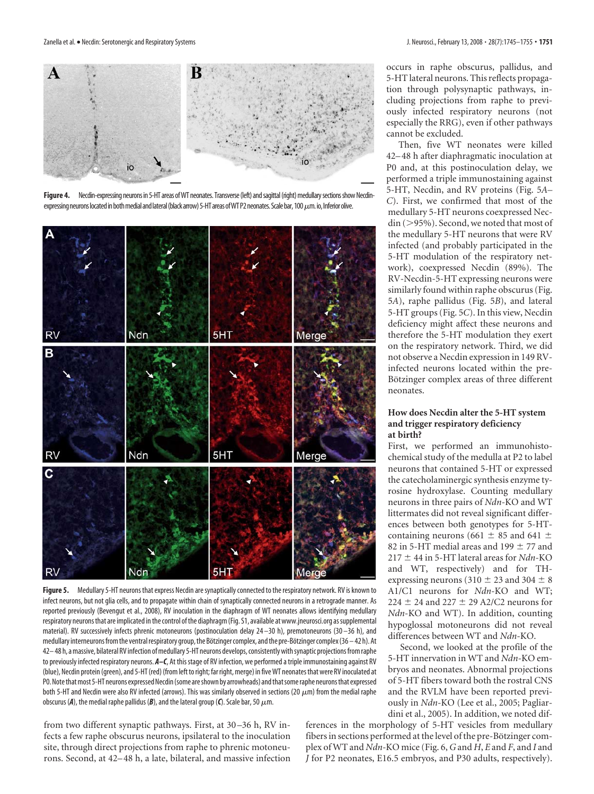

Figure 4. Necdin-expressing neurons in 5-HT areas of WT neonates. Transverse (left) and sagittal (right) medullary sections show Necdinexpressing neurons located in both medial and lateral (black arrow) 5-HT areas of WTP2 neonates. Scale bar, 100  $\mu$ m. io, Inferior olive.



Figure 5. Medullary 5-HT neurons that express Necdin are synaptically connected to the respiratory network. RV is known to infect neurons, but not glia cells, and to propagate within chain of synaptically connected neurons in a retrograde manner. As reported previously (Bevengut et al., 2008), RV inoculation in the diaphragm of WT neonates allows identifying medullary respiratory neuronsthat are implicated inthe control ofthe diaphragm(Fig. S1, available at www.jneurosci.org assupplemental material). RV successively infects phrenic motoneurons (postinoculation delay 24 –30 h), premotoneurons (30 –36 h), and medullary interneurons from the ventral respiratory group, the Bötzinger complex, and the pre-Bötzinger complex (36 – 42 h). At 42– 48 h, amassive, bilateral RV infection ofmedullary 5-HT neurons develops, consistently withsynaptic projectionsfromraphe to previously infected respiratory neurons. *A–C*, At this stage of RV infection, we performed a triple immunostaining against RV (blue), Necdin protein(green), and 5-HT(red)(from leftto right; far right, merge) in fiveWT neonatesthat were RV inoculated at P0. Note that most 5-HT neurons expressed Necdin (some are shown by arrowheads) and that some raphe neurons that expressed both 5-HT and Necdin were also RV infected (arrows). This was similarly observed in sections (20  $\mu$ m) from the medial raphe obscurus (A), the medial raphe pallidus (B), and the lateral group (C). Scale bar, 50  $\mu$ m.

from two different synaptic pathways. First, at 30 –36 h, RV infects a few raphe obscurus neurons, ipsilateral to the inoculation site, through direct projections from raphe to phrenic motoneurons. Second, at 42–48 h, a late, bilateral, and massive infection

occurs in raphe obscurus, pallidus, and 5-HT lateral neurons. This reflects propagation through polysynaptic pathways, including projections from raphe to previously infected respiratory neurons (not especially the RRG), even if other pathways cannot be excluded.

Then, five WT neonates were killed 42–48 h after diaphragmatic inoculation at P0 and, at this postinoculation delay, we performed a triple immunostaining against 5-HT, Necdin, and RV proteins (Fig. 5*A– C*). First, we confirmed that most of the medullary 5-HT neurons coexpressed Necdin (>95%). Second, we noted that most of the medullary 5-HT neurons that were RV infected (and probably participated in the 5-HT modulation of the respiratory network), coexpressed Necdin (89%). The RV-Necdin-5-HT expressing neurons were similarly found within raphe obscurus (Fig. 5*A*), raphe pallidus (Fig. 5*B*), and lateral 5-HT groups (Fig. 5*C*). In this view, Necdin deficiency might affect these neurons and therefore the 5-HT modulation they exert on the respiratory network. Third, we did not observe a Necdin expression in 149 RVinfected neurons located within the pre-Bötzinger complex areas of three different neonates.

#### **How does Necdin alter the 5-HT system and trigger respiratory deficiency at birth?**

First, we performed an immunohistochemical study of the medulla at P2 to label neurons that contained 5-HT or expressed the catecholaminergic synthesis enzyme tyrosine hydroxylase. Counting medullary neurons in three pairs of *Ndn-*KO and WT littermates did not reveal significant differences between both genotypes for 5-HTcontaining neurons (661  $\pm$  85 and 641  $\pm$ 82 in 5-HT medial areas and 199  $\pm$  77 and  $217 \pm 44$  in 5-HT lateral areas for *Ndn*-KO and WT, respectively) and for THexpressing neurons (310  $\pm$  23 and 304  $\pm$  8 A1/C1 neurons for *Ndn*-KO and WT; 224  $\pm$  24 and 227  $\pm$  29 A2/C2 neurons for *Ndn*-KO and WT). In addition, counting hypoglossal motoneurons did not reveal differences between WT and *Ndn*-KO.

Second, we looked at the profile of the 5-HT innervation in WT and *Ndn-*KO embryos and neonates. Abnormal projections of 5-HT fibers toward both the rostral CNS and the RVLM have been reported previously in *Ndn-*KO (Lee et al., 2005; Pagliardini et al., 2005). In addition, we noted dif-

ferences in the morphology of 5-HT vesicles from medullary fibers in sections performed at the level of the pre-Bötzinger complex of WT and *Ndn-*KO mice (Fig. 6,*G*and *H*, *E* and *F*, and *I* and *J* for P2 neonates, E16.5 embryos, and P30 adults, respectively).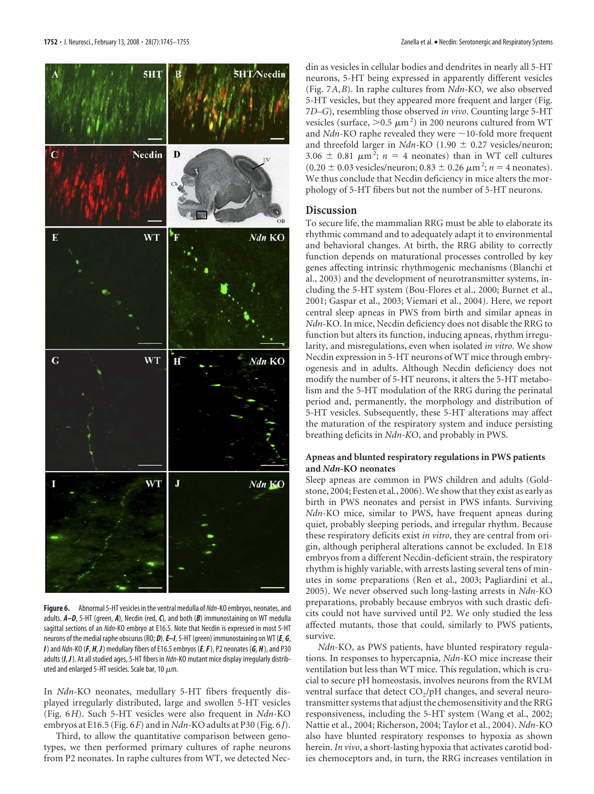

**Figure 6.** Abnormal 5-HT vesicles in the ventral medulla of *Ndn*-KO embryos, neonates, and adults. *A–D*, 5-HT (green, *A*), Necdin (red, *C*), and both (*B*) immunostaining on WT medulla sagittal sections of an *Ndn*-KO embryo at E16.5. Note that Necdin is expressed in most 5-HT neurons of the medial raphe obscurus (RO; *D*).*E–I*, 5-HT (green) immunostaining on WT (*E*, *G*, *I*) and *Ndn*-KO (*F*, *H*, *J*) medullary fibers of E16.5 embryos (*E*,*F*), P2 neonates (*G*, *H*), and P30 adults (*I*, *J*). At all studied ages, 5-HT fibers in *Ndn*-KO mutant mice display irregularly distributed and enlarged 5-HT vesicles. Scale bar, 10  $\mu$ m.

In *Ndn-*KO neonates, medullary 5-HT fibers frequently displayed irregularly distributed, large and swollen 5-HT vesicles (Fig. 6*H*). Such 5-HT vesicles were also frequent in *Ndn-*KO embryos at E16.5 (Fig. 6*F*) and in *Ndn-*KO adults at P30 (Fig. 6*J*).

Third, to allow the quantitative comparison between genotypes, we then performed primary cultures of raphe neurons from P2 neonates. In raphe cultures from WT, we detected Necdin as vesicles in cellular bodies and dendrites in nearly all 5-HT neurons, 5-HT being expressed in apparently different vesicles (Fig. 7*A*,*B*). In raphe cultures from *Ndn-*KO, we also observed 5-HT vesicles, but they appeared more frequent and larger (Fig. 7*D–G*), resembling those observed *in vivo*. Counting large 5-HT vesicles (surface,  $>$  0.5  $\mu$ m<sup>2</sup>) in 200 neurons cultured from WT and *Ndn*-KO raphe revealed they were  $\sim$  10-fold more frequent and threefold larger in *Ndn*-KO (1.90  $\pm$  0.27 vesicles/neuron;  $3.06 \pm 0.81 \ \mu m^2$ ;  $n = 4$  neonates) than in WT cell cultures  $(0.20 \pm 0.03 \text{ vesicles/neuron}; 0.83 \pm 0.26 \text{ }\mu\text{m}^2; n = 4 \text{ neonates}).$ We thus conclude that Necdin deficiency in mice alters the morphology of 5-HT fibers but not the number of 5-HT neurons.

# **Discussion**

To secure life, the mammalian RRG must be able to elaborate its rhythmic command and to adequately adapt it to environmental and behavioral changes. At birth, the RRG ability to correctly function depends on maturational processes controlled by key genes affecting intrinsic rhythmogenic mechanisms (Blanchi et al., 2003) and the development of neurotransmitter systems, including the 5-HT system (Bou-Flores et al., 2000; Burnet et al., 2001; Gaspar et al., 2003; Viemari et al., 2004). Here, we report central sleep apneas in PWS from birth and similar apneas in *Ndn*-KO. In mice, Necdin deficiency does not disable the RRG to function but alters its function, inducing apneas, rhythm irregularity, and misregulations, even when isolated *in vitro*. We show Necdin expression in 5-HT neurons of WT mice through embryogenesis and in adults. Although Necdin deficiency does not modify the number of 5-HT neurons, it alters the 5-HT metabolism and the 5-HT modulation of the RRG during the perinatal period and, permanently, the morphology and distribution of 5-HT vesicles. Subsequently, these 5-HT alterations may affect the maturation of the respiratory system and induce persisting breathing deficits in *Ndn-K*O, and probably in PWS.

# **Apneas and blunted respiratory regulations in PWS patients and** *Ndn***-KO neonates**

Sleep apneas are common in PWS children and adults (Goldstone, 2004; Festen et al., 2006).We show that they exist as early as birth in PWS neonates and persist in PWS infants. Surviving *Ndn-*KO mice, similar to PWS, have frequent apneas during quiet, probably sleeping periods, and irregular rhythm. Because these respiratory deficits exist *in vitro*, they are central from origin, although peripheral alterations cannot be excluded. In E18 embryos from a different Necdin-deficient strain, the respiratory rhythm is highly variable, with arrests lasting several tens of minutes in some preparations (Ren et al., 2003; Pagliardini et al., 2005). We never observed such long-lasting arrests in *Ndn-*KO preparations, probably because embryos with such drastic deficits could not have survived until P2. We only studied the less affected mutants, those that could, similarly to PWS patients, survive.

*Ndn-*KO, as PWS patients, have blunted respiratory regulations. In responses to hypercapnia, *Ndn-*KO mice increase their ventilation but less than WT mice. This regulation, which is crucial to secure pH homeostasis, involves neurons from the RVLM ventral surface that detect  $CO<sub>2</sub>/pH$  changes, and several neurotransmitter systems that adjust the chemosensitivity and the RRG responsiveness, including the 5-HT system (Wang et al., 2002; Nattie et al., 2004; Richerson, 2004; Taylor et al., 2004). *Ndn*-KO also have blunted respiratory responses to hypoxia as shown herein. *In vivo*, a short-lasting hypoxia that activates carotid bodies chemoceptors and, in turn, the RRG increases ventilation in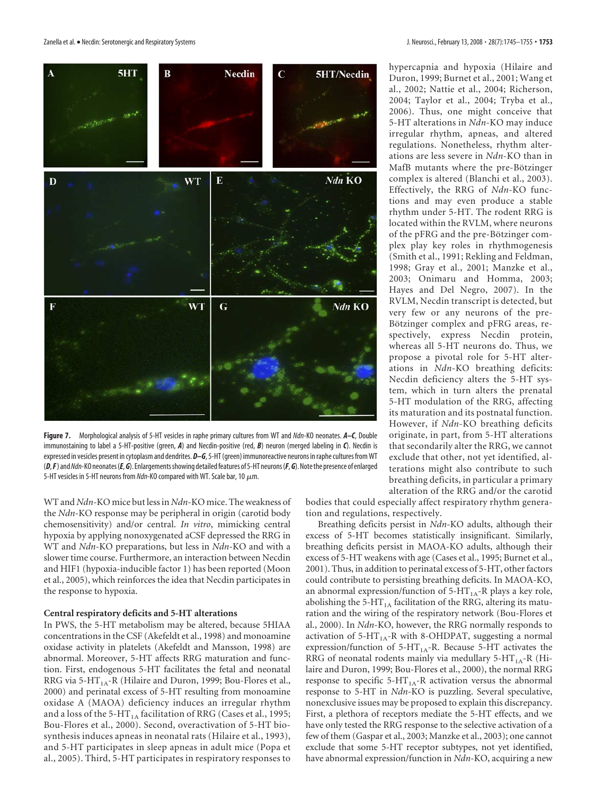

**Figure 7.** Morphological analysis of 5-HT vesicles in raphe primary cultures from WT and *Ndn*-KO neonates. *A–C*, Double immunostaining to label a 5-HT-positive (green, *A*) and Necdin-positive (red, *B*) neuron (merged labeling in *C*). Necdin is expressed in vesicles present in cytoplasm and dendrites. *D–G*, 5-HT (green) immunoreactive neurons in raphe cultures fromWT (*D*,*F*) and*Ndn*-KO neonates(*E*,*G*). Enlargementsshowing detailedfeatures of 5-HT neurons(*F*,*G*).Notethe presence of enlarged 5-HT vesicles in 5-HT neurons from *Ndn*-KO compared with WT. Scale bar, 10  $\mu$ m.

WT and *Ndn-*KO mice but less in *Ndn-*KO mice. The weakness of the *Ndn-*KO response may be peripheral in origin (carotid body chemosensitivity) and/or central. *In vitro*, mimicking central hypoxia by applying nonoxygenated aCSF depressed the RRG in WT and *Ndn-*KO preparations, but less in *Ndn-*KO and with a slower time course. Furthermore, an interaction between Necdin and HIF1 (hypoxia-inducible factor 1) has been reported (Moon et al., 2005), which reinforces the idea that Necdin participates in the response to hypoxia.

#### **Central respiratory deficits and 5-HT alterations**

In PWS, the 5-HT metabolism may be altered, because 5HIAA concentrations in the CSF (Akefeldt et al., 1998) and monoamine oxidase activity in platelets (Akefeldt and Mansson, 1998) are abnormal. Moreover, 5-HT affects RRG maturation and function. First, endogenous 5-HT facilitates the fetal and neonatal RRG via 5-HT<sub>1A</sub>-R (Hilaire and Duron, 1999; Bou-Flores et al., 2000) and perinatal excess of 5-HT resulting from monoamine oxidase A (MAOA) deficiency induces an irregular rhythm and a loss of the 5-HT<sub>1A</sub> facilitation of RRG (Cases et al., 1995; Bou-Flores et al., 2000). Second, overactivation of 5-HT biosynthesis induces apneas in neonatal rats (Hilaire et al., 1993), and 5-HT participates in sleep apneas in adult mice (Popa et al., 2005). Third, 5-HT participates in respiratory responses to hypercapnia and hypoxia (Hilaire and Duron, 1999; Burnet et al., 2001; Wang et al., 2002; Nattie et al., 2004; Richerson, 2004; Taylor et al., 2004; Tryba et al., 2006). Thus, one might conceive that 5-HT alterations in *Ndn*-KO may induce irregular rhythm, apneas, and altered regulations. Nonetheless, rhythm alterations are less severe in *Ndn*-KO than in MafB mutants where the pre-Bötzinger complex is altered (Blanchi et al., 2003). Effectively, the RRG of *Ndn*-KO functions and may even produce a stable rhythm under 5-HT. The rodent RRG is located within the RVLM, where neurons of the pFRG and the pre-Bötzinger complex play key roles in rhythmogenesis (Smith et al., 1991; Rekling and Feldman, 1998; Gray et al., 2001; Manzke et al., 2003; Onimaru and Homma, 2003; Hayes and Del Negro, 2007). In the RVLM, Necdin transcript is detected, but very few or any neurons of the pre-Bötzinger complex and pFRG areas, respectively, express Necdin protein, whereas all 5-HT neurons do. Thus, we propose a pivotal role for 5-HT alterations in *Ndn*-KO breathing deficits: Necdin deficiency alters the 5-HT system, which in turn alters the prenatal 5-HT modulation of the RRG, affecting its maturation and its postnatal function. However, if *Ndn*-KO breathing deficits originate, in part, from 5-HT alterations that secondarily alter the RRG, we cannot exclude that other, not yet identified, alterations might also contribute to such breathing deficits, in particular a primary alteration of the RRG and/or the carotid

bodies that could especially affect respiratory rhythm generation and regulations, respectively.

Breathing deficits persist in *Ndn*-KO adults, although their excess of 5-HT becomes statistically insignificant. Similarly, breathing deficits persist in MAOA-KO adults, although their excess of 5-HT weakens with age (Cases et al., 1995; Burnet et al., 2001). Thus, in addition to perinatal excess of 5-HT, other factors could contribute to persisting breathing deficits. In MAOA-KO, an abnormal expression/function of  $5-HT<sub>1A</sub>$ -R plays a key role, abolishing the 5-HT<sub>1A</sub> facilitation of the RRG, altering its maturation and the wiring of the respiratory network (Bou-Flores et al., 2000). In *Ndn-*KO, however, the RRG normally responds to activation of 5-HT<sub>1A</sub>-R with 8-OHDPAT, suggesting a normal expression/function of 5-HT<sub>1A</sub>-R. Because 5-HT activates the RRG of neonatal rodents mainly via medullary  $5-HT_{1A}-R$  (Hilaire and Duron, 1999; Bou-Flores et al., 2000), the normal RRG response to specific  $5-HT<sub>1A</sub>-R$  activation versus the abnormal response to 5-HT in *Ndn*-KO is puzzling. Several speculative, nonexclusive issues may be proposed to explain this discrepancy. First, a plethora of receptors mediate the 5-HT effects, and we have only tested the RRG response to the selective activation of a few of them (Gaspar et al., 2003; Manzke et al., 2003); one cannot exclude that some 5-HT receptor subtypes, not yet identified, have abnormal expression/function in *Ndn*-KO, acquiring a new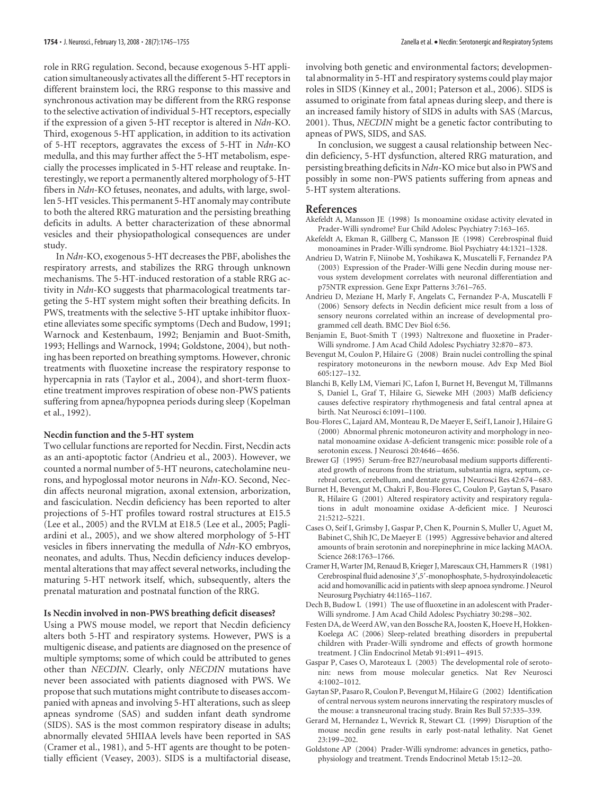role in RRG regulation. Second, because exogenous 5-HT application simultaneously activates all the different 5-HT receptors in different brainstem loci, the RRG response to this massive and synchronous activation may be different from the RRG response to the selective activation of individual 5-HT receptors, especially if the expression of a given 5-HT receptor is altered in *Ndn*-KO. Third, exogenous 5-HT application, in addition to its activation of 5-HT receptors, aggravates the excess of 5-HT in *Ndn*-KO medulla, and this may further affect the 5-HT metabolism, especially the processes implicated in 5-HT release and reuptake. Interestingly, we report a permanently altered morphology of 5-HT fibers in *Ndn*-KO fetuses, neonates, and adults, with large, swollen 5-HT vesicles. This permanent 5-HT anomaly may contribute to both the altered RRG maturation and the persisting breathing deficits in adults. A better characterization of these abnormal vesicles and their physiopathological consequences are under study.

In *Ndn*-KO, exogenous 5-HT decreases the PBF, abolishes the respiratory arrests, and stabilizes the RRG through unknown mechanisms. The 5-HT-induced restoration of a stable RRG activity in *Ndn*-KO suggests that pharmacological treatments targeting the 5-HT system might soften their breathing deficits. In PWS, treatments with the selective 5-HT uptake inhibitor fluoxetine alleviates some specific symptoms (Dech and Budow, 1991; Warnock and Kestenbaum, 1992; Benjamin and Buot-Smith, 1993; Hellings and Warnock, 1994; Goldstone, 2004), but nothing has been reported on breathing symptoms. However, chronic treatments with fluoxetine increase the respiratory response to hypercapnia in rats (Taylor et al., 2004), and short-term fluoxetine treatment improves respiration of obese non-PWS patients suffering from apnea/hypopnea periods during sleep (Kopelman et al., 1992).

#### **Necdin function and the 5-HT system**

Two cellular functions are reported for Necdin. First, Necdin acts as an anti-apoptotic factor (Andrieu et al., 2003). However, we counted a normal number of 5-HT neurons, catecholamine neurons, and hypoglossal motor neurons in *Ndn*-KO. Second, Necdin affects neuronal migration, axonal extension, arborization, and fasciculation. Necdin deficiency has been reported to alter projections of 5-HT profiles toward rostral structures at E15.5 (Lee et al., 2005) and the RVLM at E18.5 (Lee et al., 2005; Pagliardini et al., 2005), and we show altered morphology of 5-HT vesicles in fibers innervating the medulla of *Ndn*-KO embryos, neonates, and adults. Thus, Necdin deficiency induces developmental alterations that may affect several networks, including the maturing 5-HT network itself, which, subsequently, alters the prenatal maturation and postnatal function of the RRG.

#### **Is Necdin involved in non-PWS breathing deficit diseases?**

Using a PWS mouse model, we report that Necdin deficiency alters both 5-HT and respiratory systems. However, PWS is a multigenic disease, and patients are diagnosed on the presence of multiple symptoms; some of which could be attributed to genes other than *NECDIN*. Clearly, only *NECDIN* mutations have never been associated with patients diagnosed with PWS. We propose that such mutations might contribute to diseases accompanied with apneas and involving 5-HT alterations, such as sleep apneas syndrome (SAS) and sudden infant death syndrome (SIDS). SAS is the most common respiratory disease in adults; abnormally elevated 5HIIAA levels have been reported in SAS (Cramer et al., 1981), and 5-HT agents are thought to be potentially efficient (Veasey, 2003). SIDS is a multifactorial disease,

involving both genetic and environmental factors; developmental abnormality in 5-HT and respiratory systems could play major roles in SIDS (Kinney et al., 2001; Paterson et al., 2006). SIDS is assumed to originate from fatal apneas during sleep, and there is an increased family history of SIDS in adults with SAS (Marcus, 2001). Thus, *NECDIN* might be a genetic factor contributing to apneas of PWS, SIDS, and SAS.

In conclusion, we suggest a causal relationship between Necdin deficiency, 5-HT dysfunction, altered RRG maturation, and persisting breathing deficits in *Ndn*-KO mice but also in PWS and possibly in some non-PWS patients suffering from apneas and 5-HT system alterations.

## **References**

- Akefeldt A, Mansson JE (1998) Is monoamine oxidase activity elevated in Prader-Willi syndrome? Eur Child Adolesc Psychiatry 7:163–165.
- Akefeldt A, Ekman R, Gillberg C, Mansson JE (1998) Cerebrospinal fluid monoamines in Prader-Willi syndrome. Biol Psychiatry 44:1321–1328.
- Andrieu D, Watrin F, Niinobe M, Yoshikawa K, Muscatelli F, Fernandez PA (2003) Expression of the Prader-Willi gene Necdin during mouse nervous system development correlates with neuronal differentiation and p75NTR expression. Gene Expr Patterns 3:761–765.
- Andrieu D, Meziane H, Marly F, Angelats C, Fernandez P-A, Muscatelli F (2006) Sensory defects in Necdin deficient mice result from a loss of sensory neurons correlated within an increase of developmental programmed cell death. BMC Dev Biol 6:56.
- Benjamin E, Buot-Smith T (1993) Naltrexone and fluoxetine in Prader-Willi syndrome. J Am Acad Child Adolesc Psychiatry 32:870 –873.
- Bevengut M, Coulon P, Hilaire G (2008) Brain nuclei controlling the spinal respiratory motoneurons in the newborn mouse. Adv Exp Med Biol 605:127–132.
- Blanchi B, Kelly LM, Viemari JC, Lafon I, Burnet H, Bevengut M, Tillmanns S, Daniel L, Graf T, Hilaire G, Sieweke MH (2003) MafB deficiency causes defective respiratory rhythmogenesis and fatal central apnea at birth. Nat Neurosci 6:1091–1100.
- Bou-Flores C, Lajard AM, Monteau R, De Maeyer E, Seif I, Lanoir J, Hilaire G (2000) Abnormal phrenic motoneuron activity and morphology in neonatal monoamine oxidase A-deficient transgenic mice: possible role of a serotonin excess. J Neurosci 20:4646-4656.
- Brewer GJ (1995) Serum-free B27/neurobasal medium supports differentiated growth of neurons from the striatum, substantia nigra, septum, cerebral cortex, cerebellum, and dentate gyrus. J Neurosci Res 42:674 –683.
- Burnet H, Bevengut M, Chakri F, Bou-Flores C, Coulon P, Gaytan S, Pasaro R, Hilaire G (2001) Altered respiratory activity and respiratory regulations in adult monoamine oxidase A-deficient mice. J Neurosci 21:5212–5221.
- Cases O, Seif I, Grimsby J, Gaspar P, Chen K, Pournin S, Muller U, Aguet M, Babinet C, Shih JC, De Maeyer E (1995) Aggressive behavior and altered amounts of brain serotonin and norepinephrine in mice lacking MAOA. Science 268:1763–1766.
- Cramer H,Warter JM, Renaud B, Krieger J, Marescaux CH, Hammers R (1981) Cerebrospinal fluid adenosine 3',5'-monophosphate, 5-hydroxyindoleacetic acid and homovanillic acid in patients with sleep apnoea syndrome. J Neurol Neurosurg Psychiatry 44:1165–1167.
- Dech B, Budow L (1991) The use of fluoxetine in an adolescent with Prader-Willi syndrome. J Am Acad Child Adolesc Psychiatry 30:298 –302.
- Festen DA, de Weerd AW, van den Bossche RA, Joosten K, Hoeve H, Hokken-Koelega AC (2006) Sleep-related breathing disorders in prepubertal children with Prader-Willi syndrome and effects of growth hormone treatment. J Clin Endocrinol Metab 91:4911–4915.
- Gaspar P, Cases O, Maroteaux L (2003) The developmental role of serotonin: news from mouse molecular genetics. Nat Rev Neurosci 4:1002–1012.
- Gaytan SP, Pasaro R, Coulon P, Bevengut M, Hilaire G (2002) Identification of central nervous system neurons innervating the respiratory muscles of the mouse: a transneuronal tracing study. Brain Res Bull 57:335–339.
- Gerard M, Hernandez L, Wevrick R, Stewart CL (1999) Disruption of the mouse necdin gene results in early post-natal lethality. Nat Genet 23:199 –202.
- Goldstone AP (2004) Prader-Willi syndrome: advances in genetics, pathophysiology and treatment. Trends Endocrinol Metab 15:12–20.